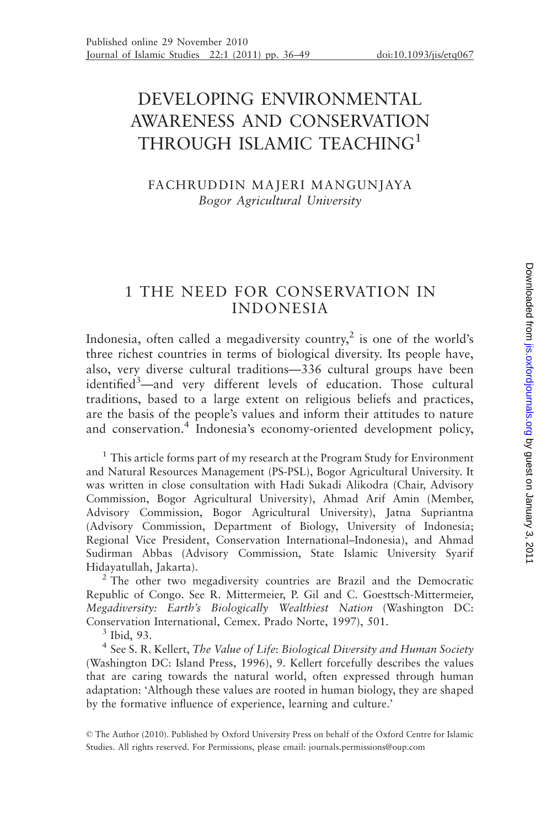# DEVELOPING ENVIRONMENTAL AWARENESS AND CONSERVATION THROUGH ISLAMIC TEACHING<sup>1</sup>

### FACHRUDDIN MAJERI MANGUNJAYA Bogor Agricultural University

# 1 THE NEED FOR CONSERVATION IN INDONESIA

Indonesia, often called a megadiversity country,<sup>2</sup> is one of the world's three richest countries in terms of biological diversity. Its people have, also, very diverse cultural traditions—336 cultural groups have been identified<sup>3</sup>-and very different levels of education. Those cultural traditions, based to a large extent on religious beliefs and practices, are the basis of the people's values and inform their attitudes to nature and conservation.<sup>4</sup> Indonesia's economy-oriented development policy,

<sup>1</sup> This article forms part of my research at the Program Study for Environment and Natural Resources Management (PS-PSL), Bogor Agricultural University. It was written in close consultation with Hadi Sukadi Alikodra (Chair, Advisory Commission, Bogor Agricultural University), Ahmad Arif Amin (Member, Advisory Commission, Bogor Agricultural University), Jatna Supriantna (Advisory Commission, Department of Biology, University of Indonesia; Regional Vice President, Conservation International–Indonesia), and Ahmad Sudirman Abbas (Advisory Commission, State Islamic University Syarif

Hidayatullah, Jakarta). <sup>2</sup> The other two megadiversity countries are Brazil and the Democratic Republic of Congo. See R. Mittermeier, P. Gil and C. Goesttsch-Mittermeier, Megadiversity: Earth's Biologically Wealthiest Nation (Washington DC: Conservation International, Cemex. Prado Norte, 1997), 501. <sup>3</sup> Ibid, 93.

<sup>4</sup> See S. R. Kellert, The Value of Life: Biological Diversity and Human Society (Washington DC: Island Press, 1996), 9. Kellert forcefully describes the values that are caring towards the natural world, often expressed through human adaptation: 'Although these values are rooted in human biology, they are shaped by the formative influence of experience, learning and culture.'

© The Author (2010). Published by Oxford University Press on behalf of the Oxford Centre for Islamic Studies. All rights reserved. For Permissions, please email: journals.permissions@oup.com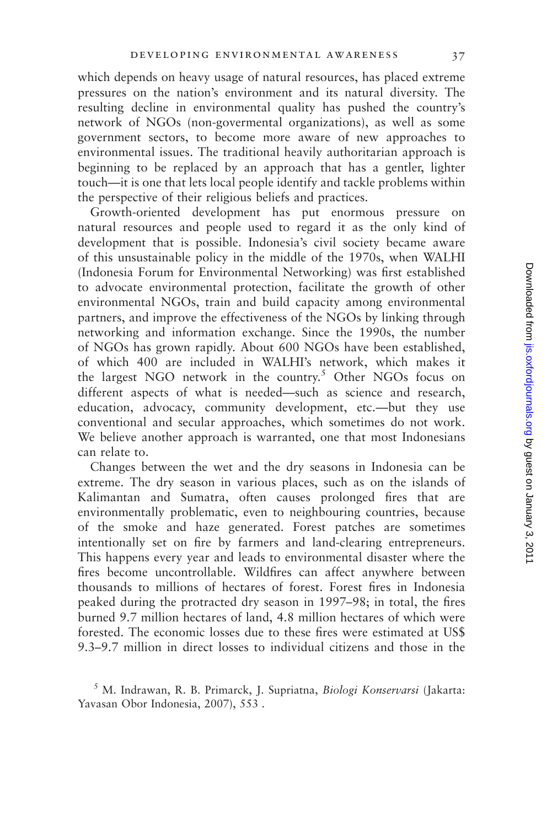which depends on heavy usage of natural resources, has placed extreme pressures on the nation's environment and its natural diversity. The resulting decline in environmental quality has pushed the country's network of NGOs (non-govermental organizations), as well as some government sectors, to become more aware of new approaches to environmental issues. The traditional heavily authoritarian approach is beginning to be replaced by an approach that has a gentler, lighter touch—it is one that lets local people identify and tackle problems within the perspective of their religious beliefs and practices.

Growth-oriented development has put enormous pressure on natural resources and people used to regard it as the only kind of development that is possible. Indonesia's civil society became aware of this unsustainable policy in the middle of the 1970s, when WALHI (Indonesia Forum for Environmental Networking) was first established to advocate environmental protection, facilitate the growth of other environmental NGOs, train and build capacity among environmental partners, and improve the effectiveness of the NGOs by linking through networking and information exchange. Since the 1990s, the number of NGOs has grown rapidly. About 600 NGOs have been established, of which 400 are included in WALHI's network, which makes it the largest NGO network in the country.<sup>5</sup> Other NGOs focus on different aspects of what is needed—such as science and research, education, advocacy, community development, etc.—but they use conventional and secular approaches, which sometimes do not work. We believe another approach is warranted, one that most Indonesians can relate to.

Changes between the wet and the dry seasons in Indonesia can be extreme. The dry season in various places, such as on the islands of Kalimantan and Sumatra, often causes prolonged fires that are environmentally problematic, even to neighbouring countries, because of the smoke and haze generated. Forest patches are sometimes intentionally set on fire by farmers and land-clearing entrepreneurs. This happens every year and leads to environmental disaster where the fires become uncontrollable. Wildfires can affect anywhere between thousands to millions of hectares of forest. Forest fires in Indonesia peaked during the protracted dry season in 1997–98; in total, the fires burned 9.7 million hectares of land, 4.8 million hectares of which were forested. The economic losses due to these fires were estimated at US\$ 9.3–9.7 million in direct losses to individual citizens and those in the

<sup>5</sup> M. Indrawan, R. B. Primarck, J. Supriatna, Biologi Konservarsi (Jakarta: Yavasan Obor Indonesia, 2007), 553 .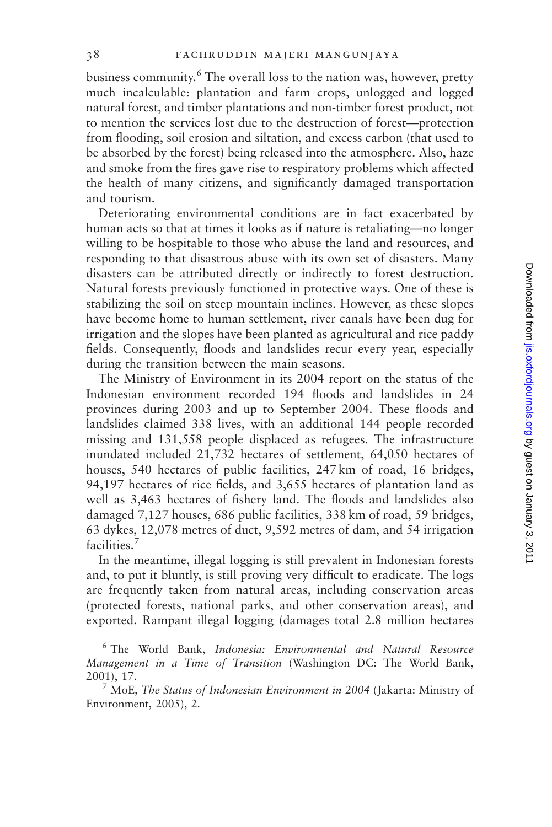business community.<sup>6</sup> The overall loss to the nation was, however, pretty much incalculable: plantation and farm crops, unlogged and logged natural forest, and timber plantations and non-timber forest product, not to mention the services lost due to the destruction of forest—protection from flooding, soil erosion and siltation, and excess carbon (that used to be absorbed by the forest) being released into the atmosphere. Also, haze and smoke from the fires gave rise to respiratory problems which affected the health of many citizens, and significantly damaged transportation and tourism.

Deteriorating environmental conditions are in fact exacerbated by human acts so that at times it looks as if nature is retaliating—no longer willing to be hospitable to those who abuse the land and resources, and responding to that disastrous abuse with its own set of disasters. Many disasters can be attributed directly or indirectly to forest destruction. Natural forests previously functioned in protective ways. One of these is stabilizing the soil on steep mountain inclines. However, as these slopes have become home to human settlement, river canals have been dug for irrigation and the slopes have been planted as agricultural and rice paddy fields. Consequently, floods and landslides recur every year, especially during the transition between the main seasons.

The Ministry of Environment in its 2004 report on the status of the Indonesian environment recorded 194 floods and landslides in 24 provinces during 2003 and up to September 2004. These floods and landslides claimed 338 lives, with an additional 144 people recorded missing and 131,558 people displaced as refugees. The infrastructure inundated included 21,732 hectares of settlement, 64,050 hectares of houses, 540 hectares of public facilities, 247 km of road, 16 bridges, 94,197 hectares of rice fields, and 3,655 hectares of plantation land as well as 3,463 hectares of fishery land. The floods and landslides also damaged 7,127 houses, 686 public facilities, 338 km of road, 59 bridges, 63 dykes, 12,078 metres of duct, 9,592 metres of dam, and 54 irrigation facilities.<sup>7</sup>

In the meantime, illegal logging is still prevalent in Indonesian forests and, to put it bluntly, is still proving very difficult to eradicate. The logs are frequently taken from natural areas, including conservation areas (protected forests, national parks, and other conservation areas), and exported. Rampant illegal logging (damages total 2.8 million hectares

<sup>6</sup> The World Bank, Indonesia: Environmental and Natural Resource Management in a Time of Transition (Washington DC: The World Bank, 2001), 17. *7* MoE, *The Status of Indonesian Environment in 2004* (Jakarta: Ministry of

Environment, 2005), 2.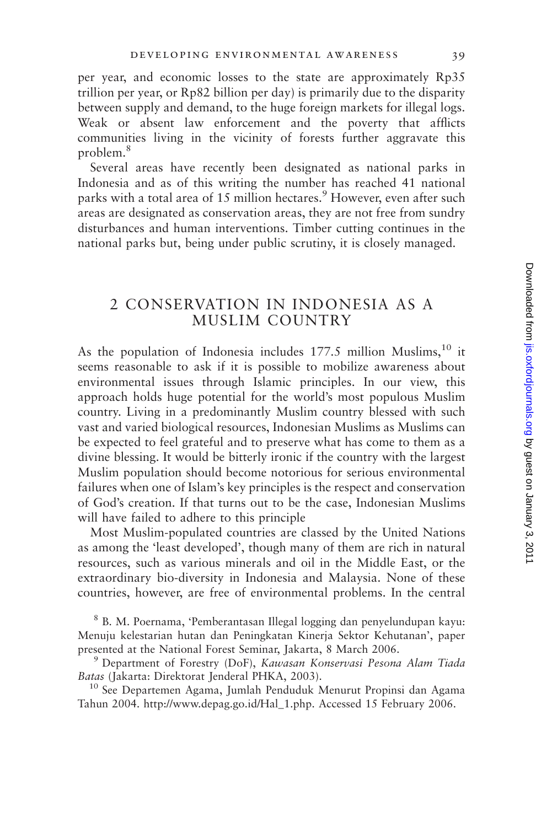per year, and economic losses to the state are approximately Rp35 trillion per year, or Rp82 billion per day) is primarily due to the disparity between supply and demand, to the huge foreign markets for illegal logs. Weak or absent law enforcement and the poverty that afflicts communities living in the vicinity of forests further aggravate this problem.<sup>8</sup>

Several areas have recently been designated as national parks in Indonesia and as of this writing the number has reached 41 national parks with a total area of 15 million hectares.<sup>9</sup> However, even after such areas are designated as conservation areas, they are not free from sundry disturbances and human interventions. Timber cutting continues in the national parks but, being under public scrutiny, it is closely managed.

# 2 CONSERVATION IN INDONESIA AS A MUSLIM COUNTRY

As the population of Indonesia includes  $177.5$  million Muslims,  $10$  it seems reasonable to ask if it is possible to mobilize awareness about environmental issues through Islamic principles. In our view, this approach holds huge potential for the world's most populous Muslim country. Living in a predominantly Muslim country blessed with such vast and varied biological resources, Indonesian Muslims as Muslims can be expected to feel grateful and to preserve what has come to them as a divine blessing. It would be bitterly ironic if the country with the largest Muslim population should become notorious for serious environmental failures when one of Islam's key principles is the respect and conservation of God's creation. If that turns out to be the case, Indonesian Muslims will have failed to adhere to this principle

Most Muslim-populated countries are classed by the United Nations as among the 'least developed', though many of them are rich in natural resources, such as various minerals and oil in the Middle East, or the extraordinary bio-diversity in Indonesia and Malaysia. None of these countries, however, are free of environmental problems. In the central

<sup>8</sup> B. M. Poernama, 'Pemberantasan Illegal logging dan penyelundupan kayu: Menuju kelestarian hutan dan Peningkatan Kinerja Sektor Kehutanan', paper presented at the National Forest Seminar, Jakarta, 8 March 2006.<br><sup>9</sup> Department of Forestry (DoF), *Kawasan Konservasi Pesona Alam Tiada* 

Batas (Jakarta: Direktorat Jenderal PHKA, 2003). <sup>10</sup> See Departemen Agama, Jumlah Penduduk Menurut Propinsi dan Agama

Tahun 2004. http://www.depag.go.id/Hal\_1.php. Accessed 15 February 2006.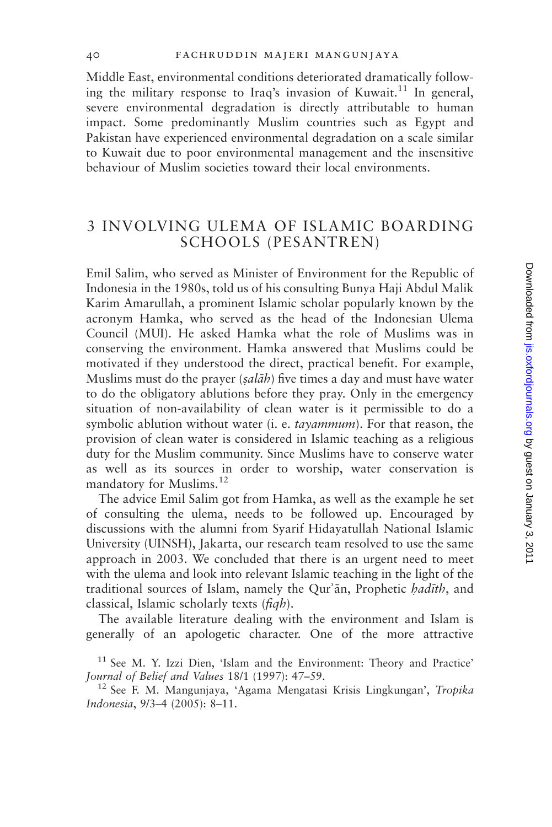Middle East, environmental conditions deteriorated dramatically following the military response to Iraq's invasion of Kuwait.<sup>11</sup> In general, severe environmental degradation is directly attributable to human impact. Some predominantly Muslim countries such as Egypt and Pakistan have experienced environmental degradation on a scale similar to Kuwait due to poor environmental management and the insensitive behaviour of Muslim societies toward their local environments.

# 3 INVOLVING ULEMA OF ISLAMIC BOARDING SCHOOLS (PESANTREN)

Emil Salim, who served as Minister of Environment for the Republic of Indonesia in the 1980s, told us of his consulting Bunya Haji Abdul Malik Karim Amarullah, a prominent Islamic scholar popularly known by the acronym Hamka, who served as the head of the Indonesian Ulema Council (MUI). He asked Hamka what the role of Muslims was in conserving the environment. Hamka answered that Muslims could be motivated if they understood the direct, practical benefit. For example, Muslims must do the prayer  $(sal\bar{a}h)$  five times a day and must have water to do the obligatory ablutions before they pray. Only in the emergency situation of non-availability of clean water is it permissible to do a symbolic ablution without water (i. e. tayammum). For that reason, the provision of clean water is considered in Islamic teaching as a religious duty for the Muslim community. Since Muslims have to conserve water as well as its sources in order to worship, water conservation is mandatory for Muslims.<sup>12</sup>

The advice Emil Salim got from Hamka, as well as the example he set of consulting the ulema, needs to be followed up. Encouraged by discussions with the alumni from Syarif Hidayatullah National Islamic University (UINSH), Jakarta, our research team resolved to use the same approach in 2003. We concluded that there is an urgent need to meet with the ulema and look into relevant Islamic teaching in the light of the traditional sources of Islam, namely the Qur'an, Prophetic hadith, and classical, Islamic scholarly texts (fiqh).

The available literature dealing with the environment and Islam is generally of an apologetic character. One of the more attractive

 $11$  See M. Y. Izzi Dien, 'Islam and the Environment: Theory and Practice' Journal of Belief and Values 18/1 (1997): 47–59.<br><sup>12</sup> See F. M. Mangunjaya, 'Agama Mengatasi Krisis Lingkungan', *Tropika* 

Indonesia, 9/3–4 (2005): 8–11.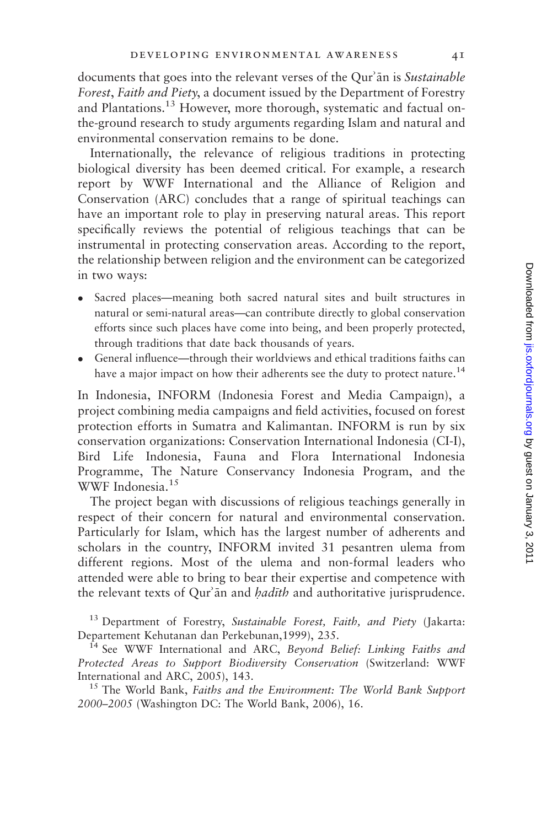documents that goes into the relevant verses of the Qur'an is Sustainable Forest, Faith and Piety, a document issued by the Department of Forestry and Plantations.13 However, more thorough, systematic and factual onthe-ground research to study arguments regarding Islam and natural and environmental conservation remains to be done.

Internationally, the relevance of religious traditions in protecting biological diversity has been deemed critical. For example, a research report by WWF International and the Alliance of Religion and Conservation (ARC) concludes that a range of spiritual teachings can have an important role to play in preserving natural areas. This report specifically reviews the potential of religious teachings that can be instrumental in protecting conservation areas. According to the report, the relationship between religion and the environment can be categorized in two ways:

- Sacred places—meaning both sacred natural sites and built structures in natural or semi-natural areas—can contribute directly to global conservation efforts since such places have come into being, and been properly protected, through traditions that date back thousands of years.
- General influence—through their worldviews and ethical traditions faiths can have a major impact on how their adherents see the duty to protect nature.<sup>14</sup>

In Indonesia, INFORM (Indonesia Forest and Media Campaign), a project combining media campaigns and field activities, focused on forest protection efforts in Sumatra and Kalimantan. INFORM is run by six conservation organizations: Conservation International Indonesia (CI-I), Bird Life Indonesia, Fauna and Flora International Indonesia Programme, The Nature Conservancy Indonesia Program, and the WWF Indonesia.<sup>15</sup>

The project began with discussions of religious teachings generally in respect of their concern for natural and environmental conservation. Particularly for Islam, which has the largest number of adherents and scholars in the country, INFORM invited 31 pesantren ulema from different regions. Most of the ulema and non-formal leaders who attended were able to bring to bear their expertise and competence with the relevant texts of Qur'an and *hadith* and authoritative jurisprudence.

<sup>13</sup> Department of Forestry, Sustainable Forest, Faith, and Piety (Jakarta: Departement Kehutanan dan Perkebunan,1999), 235.<br><sup>14</sup> See WWF International and ARC, *Beyond Belief: Linking Faiths and* 

Protected Areas to Support Biodiversity Conservation (Switzerland: WWF International and ARC, 2005), 143.<br><sup>15</sup> The World Bank, *Faiths and the Environment: The World Bank Support* 

2000–2005 (Washington DC: The World Bank, 2006), 16.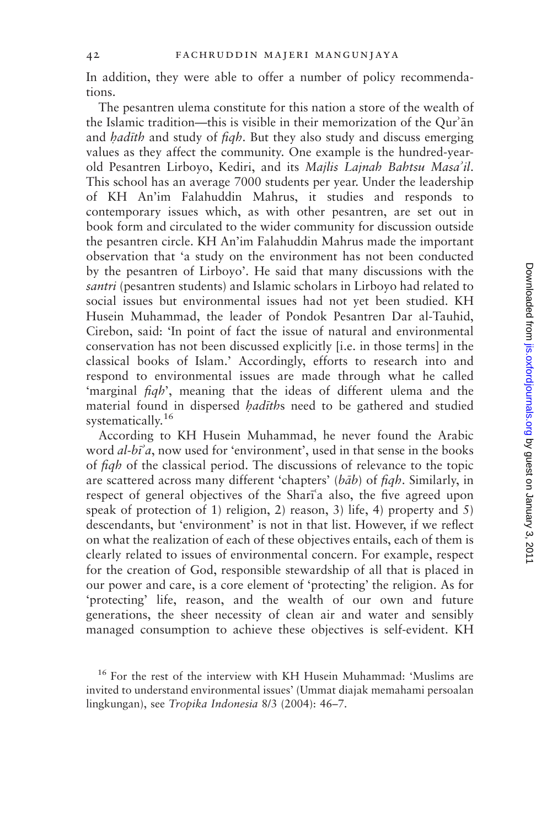In addition, they were able to offer a number of policy recommendations.

The pesantren ulema constitute for this nation a store of the wealth of the Islamic tradition—this is visible in their memorization of the Our'an and *hadith* and study of *figh*. But they also study and discuss emerging values as they affect the community. One example is the hundred-yearold Pesantren Lirboyo, Kediri, and its Majlis Lajnah Bahtsu Masa'il. This school has an average 7000 students per year. Under the leadership of KH An'im Falahuddin Mahrus, it studies and responds to contemporary issues which, as with other pesantren, are set out in book form and circulated to the wider community for discussion outside the pesantren circle. KH An'im Falahuddin Mahrus made the important observation that 'a study on the environment has not been conducted by the pesantren of Lirboyo'. He said that many discussions with the santri (pesantren students) and Islamic scholars in Lirboyo had related to social issues but environmental issues had not yet been studied. KH Husein Muhammad, the leader of Pondok Pesantren Dar al-Tauhid, Cirebon, said: 'In point of fact the issue of natural and environmental conservation has not been discussed explicitly [i.e. in those terms] in the classical books of Islam.' Accordingly, efforts to research into and respond to environmental issues are made through what he called 'marginal fiqh', meaning that the ideas of different ulema and the material found in dispersed *hadīths* need to be gathered and studied systematically.<sup>16</sup>

According to KH Husein Muhammad, he never found the Arabic word  $al-bi^2a$ , now used for 'environment', used in that sense in the books of fiqh of the classical period. The discussions of relevance to the topic are scattered across many different 'chapters'  $(b\bar{a}b)$  of figh. Similarly, in respect of general objectives of the Shari'a also, the five agreed upon speak of protection of 1) religion, 2) reason, 3) life, 4) property and 5) descendants, but 'environment' is not in that list. However, if we reflect on what the realization of each of these objectives entails, each of them is clearly related to issues of environmental concern. For example, respect for the creation of God, responsible stewardship of all that is placed in our power and care, is a core element of 'protecting' the religion. As for 'protecting' life, reason, and the wealth of our own and future generations, the sheer necessity of clean air and water and sensibly managed consumption to achieve these objectives is self-evident. KH

<sup>16</sup> For the rest of the interview with KH Husein Muhammad: 'Muslims are invited to understand environmental issues' (Ummat diajak memahami persoalan lingkungan), see Tropika Indonesia 8/3 (2004): 46–7.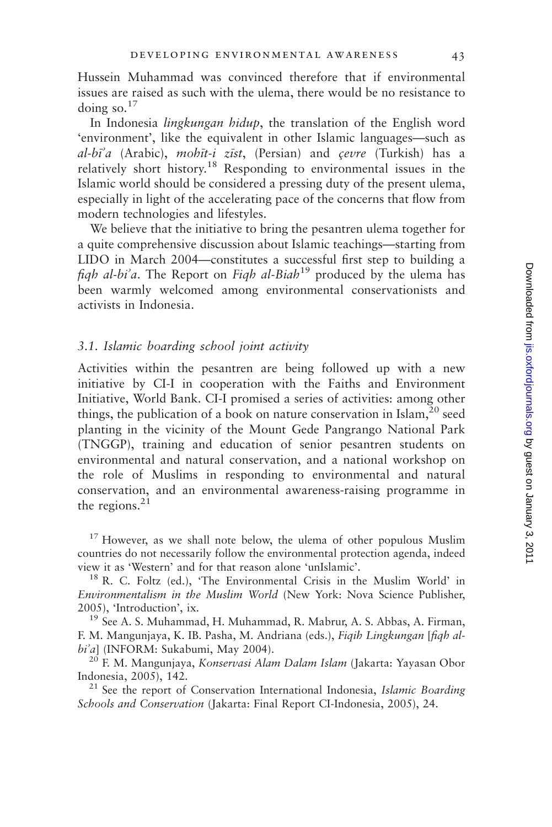Hussein Muhammad was convinced therefore that if environmental issues are raised as such with the ulema, there would be no resistance to doing so.<sup>17</sup>

In Indonesia lingkungan hidup, the translation of the English word 'environment', like the equivalent in other Islamic languages—such as  $al-bi\hat{a}$  (Arabic), mohit-i zist, (Persian) and cevre (Turkish) has a relatively short history.18 Responding to environmental issues in the Islamic world should be considered a pressing duty of the present ulema, especially in light of the accelerating pace of the concerns that flow from modern technologies and lifestyles.

We believe that the initiative to bring the pesantren ulema together for a quite comprehensive discussion about Islamic teachings—starting from LIDO in March 2004—constitutes a successful first step to building a fiqh al-bi'a. The Report on Fiqh al-Biah<sup>19</sup> produced by the ulema has been warmly welcomed among environmental conservationists and activists in Indonesia.

### 3.1. Islamic boarding school joint activity

Activities within the pesantren are being followed up with a new initiative by CI-I in cooperation with the Faiths and Environment Initiative, World Bank. CI-I promised a series of activities: among other things, the publication of a book on nature conservation in Islam,  $20$  seed planting in the vicinity of the Mount Gede Pangrango National Park (TNGGP), training and education of senior pesantren students on environmental and natural conservation, and a national workshop on the role of Muslims in responding to environmental and natural conservation, and an environmental awareness-raising programme in the regions. $^{21}$ 

 $17$  However, as we shall note below, the ulema of other populous Muslim countries do not necessarily follow the environmental protection agenda, indeed

 $^{18}$  R. C. Foltz (ed.), 'The Environmental Crisis in the Muslim World' in Environmentalism in the Muslim World (New York: Nova Science Publisher, 2005), 'Introduction', ix.<br><sup>19</sup> See A. S. Muhammad, H. Muhammad, R. Mabrur, A. S. Abbas, A. Firman,

F. M. Mangunjaya, K. IB. Pasha, M. Andriana (eds.), Fiqih Lingkungan [fiqh al $bi^2a$ ] (INFORM: Sukabumi, May 2004).

<sup>20</sup> F. M. Mangunjaya, *Konservasi Alam Dalam Islam* (Jakarta: Yayasan Obor Indonesia, 2005), 142.<br><sup>21</sup> See the report of Conservation International Indonesia, *Islamic Boarding* 

Schools and Conservation (Jakarta: Final Report CI-Indonesia, 2005), 24.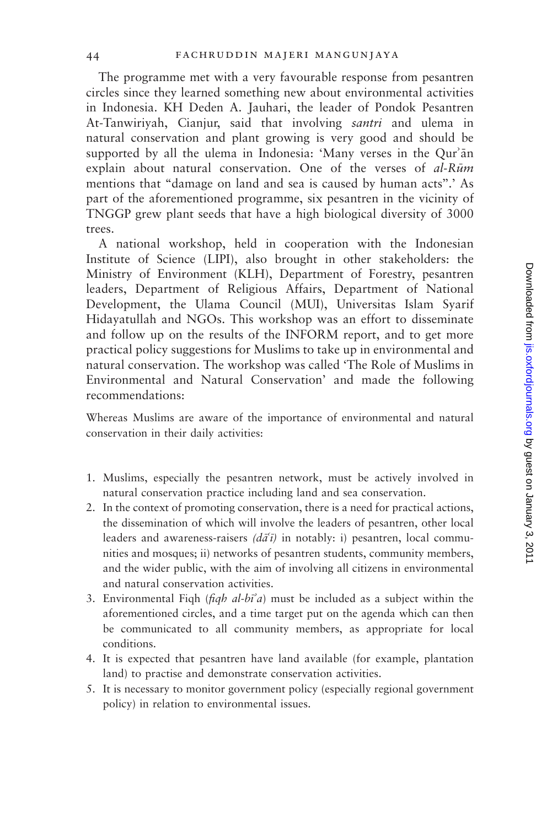The programme met with a very favourable response from pesantren circles since they learned something new about environmental activities in Indonesia. KH Deden A. Jauhari, the leader of Pondok Pesantren At-Tanwiriyah, Cianjur, said that involving santri and ulema in natural conservation and plant growing is very good and should be supported by all the ulema in Indonesia: 'Many verses in the Qur'an explain about natural conservation. One of the verses of  $al-R\bar{u}m$ mentions that ''damage on land and sea is caused by human acts''.' As part of the aforementioned programme, six pesantren in the vicinity of TNGGP grew plant seeds that have a high biological diversity of 3000 trees.

A national workshop, held in cooperation with the Indonesian Institute of Science (LIPI), also brought in other stakeholders: the Ministry of Environment (KLH), Department of Forestry, pesantren leaders, Department of Religious Affairs, Department of National Development, the Ulama Council (MUI), Universitas Islam Syarif Hidayatullah and NGOs. This workshop was an effort to disseminate and follow up on the results of the INFORM report, and to get more practical policy suggestions for Muslims to take up in environmental and natural conservation. The workshop was called 'The Role of Muslims in Environmental and Natural Conservation' and made the following recommendations:

Whereas Muslims are aware of the importance of environmental and natural conservation in their daily activities:

- 1. Muslims, especially the pesantren network, must be actively involved in natural conservation practice including land and sea conservation.
- 2. In the context of promoting conservation, there is a need for practical actions, the dissemination of which will involve the leaders of pesantren, other local leaders and awareness-raisers ( $d\tilde{a}(\tilde{i})$  in notably: i) pesantren, local communities and mosques; ii) networks of pesantren students, community members, and the wider public, with the aim of involving all citizens in environmental and natural conservation activities.
- 3. Environmental Fiqh ( $figh$  al- $b\vec{i}$ ) must be included as a subject within the aforementioned circles, and a time target put on the agenda which can then be communicated to all community members, as appropriate for local conditions.
- 4. It is expected that pesantren have land available (for example, plantation land) to practise and demonstrate conservation activities.
- 5. It is necessary to monitor government policy (especially regional government policy) in relation to environmental issues.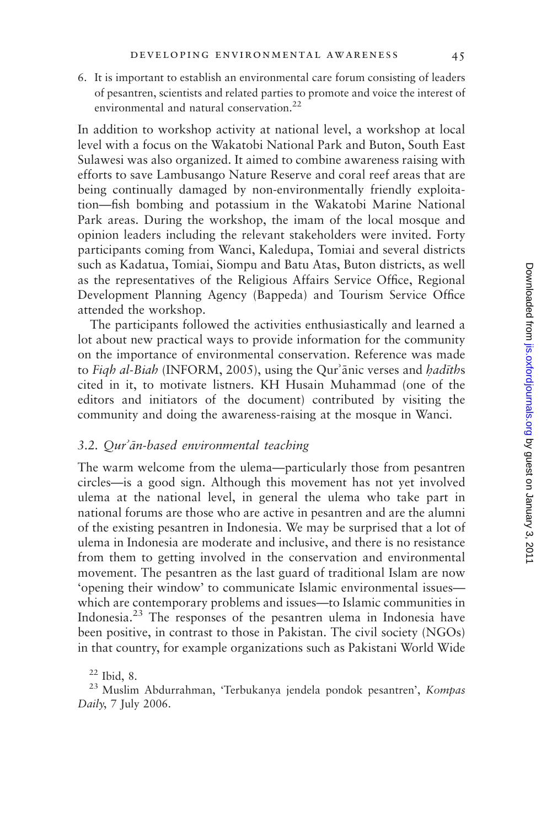6. It is important to establish an environmental care forum consisting of leaders of pesantren, scientists and related parties to promote and voice the interest of environmental and natural conservation.22

In addition to workshop activity at national level, a workshop at local level with a focus on the Wakatobi National Park and Buton, South East Sulawesi was also organized. It aimed to combine awareness raising with efforts to save Lambusango Nature Reserve and coral reef areas that are being continually damaged by non-environmentally friendly exploitation—fish bombing and potassium in the Wakatobi Marine National Park areas. During the workshop, the imam of the local mosque and opinion leaders including the relevant stakeholders were invited. Forty participants coming from Wanci, Kaledupa, Tomiai and several districts such as Kadatua, Tomiai, Siompu and Batu Atas, Buton districts, as well as the representatives of the Religious Affairs Service Office, Regional Development Planning Agency (Bappeda) and Tourism Service Office attended the workshop.

The participants followed the activities enthusiastically and learned a lot about new practical ways to provide information for the community on the importance of environmental conservation. Reference was made to Figh al-Biah (INFORM, 2005), using the Qur'anic verses and hadiths cited in it, to motivate listners. KH Husain Muhammad (one of the editors and initiators of the document) contributed by visiting the community and doing the awareness-raising at the mosque in Wanci.

### $3.2.$  Qur' $\bar{a}n$ -based environmental teaching

The warm welcome from the ulema—particularly those from pesantren circles—is a good sign. Although this movement has not yet involved ulema at the national level, in general the ulema who take part in national forums are those who are active in pesantren and are the alumni of the existing pesantren in Indonesia. We may be surprised that a lot of ulema in Indonesia are moderate and inclusive, and there is no resistance from them to getting involved in the conservation and environmental movement. The pesantren as the last guard of traditional Islam are now 'opening their window' to communicate Islamic environmental issues which are contemporary problems and issues—to Islamic communities in Indonesia.<sup>23</sup> The responses of the pesantren ulema in Indonesia have been positive, in contrast to those in Pakistan. The civil society (NGOs) in that country, for example organizations such as Pakistani World Wide

<sup>22</sup> Ibid, 8.<br><sup>23</sup> Muslim Abdurrahman, 'Terbukanya jendela pondok pesantren', Kompas Daily, 7 July 2006.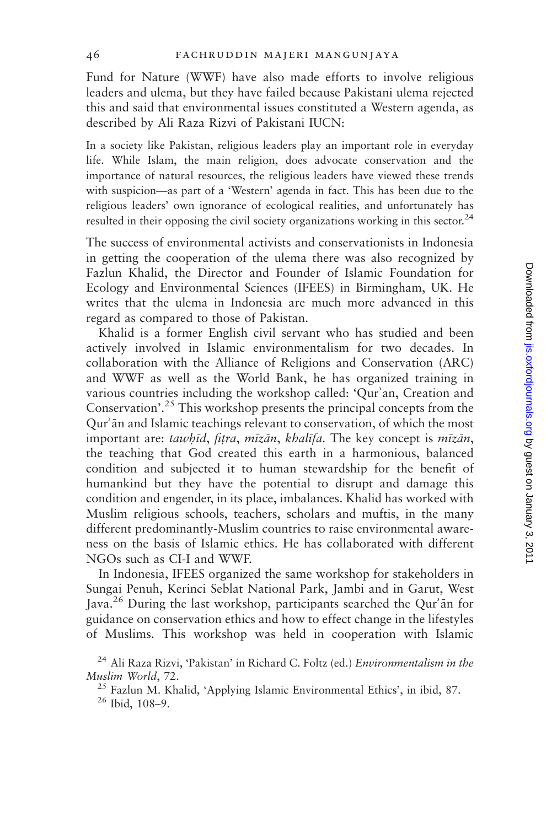Fund for Nature (WWF) have also made efforts to involve religious leaders and ulema, but they have failed because Pakistani ulema rejected this and said that environmental issues constituted a Western agenda, as described by Ali Raza Rizvi of Pakistani IUCN:

In a society like Pakistan, religious leaders play an important role in everyday life. While Islam, the main religion, does advocate conservation and the importance of natural resources, the religious leaders have viewed these trends with suspicion—as part of a 'Western' agenda in fact. This has been due to the religious leaders' own ignorance of ecological realities, and unfortunately has resulted in their opposing the civil society organizations working in this sector.<sup>24</sup>

The success of environmental activists and conservationists in Indonesia in getting the cooperation of the ulema there was also recognized by Fazlun Khalid, the Director and Founder of Islamic Foundation for Ecology and Environmental Sciences (IFEES) in Birmingham, UK. He writes that the ulema in Indonesia are much more advanced in this regard as compared to those of Pakistan.

Khalid is a former English civil servant who has studied and been actively involved in Islamic environmentalism for two decades. In collaboration with the Alliance of Religions and Conservation (ARC) and WWF as well as the World Bank, he has organized training in various countries including the workshop called: 'Qur'an, Creation and Conservation'.<sup>25</sup> This workshop presents the principal concepts from the Qur'an and Islamic teachings relevant to conservation, of which the most important are: tawhīd, fitra, mīzān, khalīfa. The key concept is mīzān, the teaching that God created this earth in a harmonious, balanced condition and subjected it to human stewardship for the benefit of humankind but they have the potential to disrupt and damage this condition and engender, in its place, imbalances. Khalid has worked with Muslim religious schools, teachers, scholars and muftis, in the many different predominantly-Muslim countries to raise environmental awareness on the basis of Islamic ethics. He has collaborated with different NGOs such as CI-I and WWF.

In Indonesia, IFEES organized the same workshop for stakeholders in Sungai Penuh, Kerinci Seblat National Park, Jambi and in Garut, West Java.<sup>26</sup> During the last workshop, participants searched the Qur'an for guidance on conservation ethics and how to effect change in the lifestyles of Muslims. This workshop was held in cooperation with Islamic

<sup>&</sup>lt;sup>24</sup> Ali Raza Rizvi, 'Pakistan' in Richard C. Foltz (ed.) *Environmentalism in the* 

Muslim World, 72.<br><sup>25</sup> Fazlun M. Khalid, 'Applying Islamic Environmental Ethics', in ibid, 87.<br><sup>26</sup> Ibid. 108–9.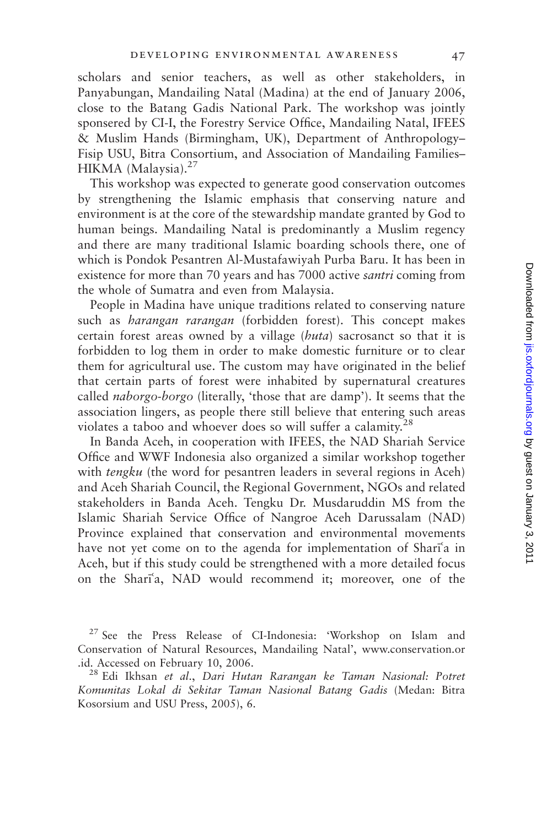scholars and senior teachers, as well as other stakeholders, in Panyabungan, Mandailing Natal (Madina) at the end of January 2006, close to the Batang Gadis National Park. The workshop was jointly sponsered by CI-I, the Forestry Service Office, Mandailing Natal, IFEES & Muslim Hands (Birmingham, UK), Department of Anthropology– Fisip USU, Bitra Consortium, and Association of Mandailing Families– HIKMA (Malaysia).<sup>27</sup>

This workshop was expected to generate good conservation outcomes by strengthening the Islamic emphasis that conserving nature and environment is at the core of the stewardship mandate granted by God to human beings. Mandailing Natal is predominantly a Muslim regency and there are many traditional Islamic boarding schools there, one of which is Pondok Pesantren Al-Mustafawiyah Purba Baru. It has been in existence for more than 70 years and has 7000 active *santri* coming from the whole of Sumatra and even from Malaysia.

People in Madina have unique traditions related to conserving nature such as *harangan rarangan* (forbidden forest). This concept makes certain forest areas owned by a village (*huta*) sacrosanct so that it is forbidden to log them in order to make domestic furniture or to clear them for agricultural use. The custom may have originated in the belief that certain parts of forest were inhabited by supernatural creatures called *naborgo-borgo* (literally, 'those that are damp'). It seems that the association lingers, as people there still believe that entering such areas violates a taboo and whoever does so will suffer a calamity.<sup>28</sup>

In Banda Aceh, in cooperation with IFEES, the NAD Shariah Service Office and WWF Indonesia also organized a similar workshop together with *tengku* (the word for pesantren leaders in several regions in Aceh) and Aceh Shariah Council, the Regional Government, NGOs and related stakeholders in Banda Aceh. Tengku Dr. Musdaruddin MS from the Islamic Shariah Service Office of Nangroe Aceh Darussalam (NAD) Province explained that conservation and environmental movements have not yet come on to the agenda for implementation of Shari'a in Aceh, but if this study could be strengthened with a more detailed focus on the Shari'a, NAD would recommend it; moreover, one of the

<sup>&</sup>lt;sup>27</sup> See the Press Release of CI-Indonesia: 'Workshop on Islam and Conservation of Natural Resources, Mandailing Natal', www.conservation.or .id. Accessed on February 10, 2006. <sup>28</sup> Edi Ikhsan et al., Dari Hutan Rarangan ke Taman Nasional: Potret

Komunitas Lokal di Sekitar Taman Nasional Batang Gadis (Medan: Bitra Kosorsium and USU Press, 2005), 6.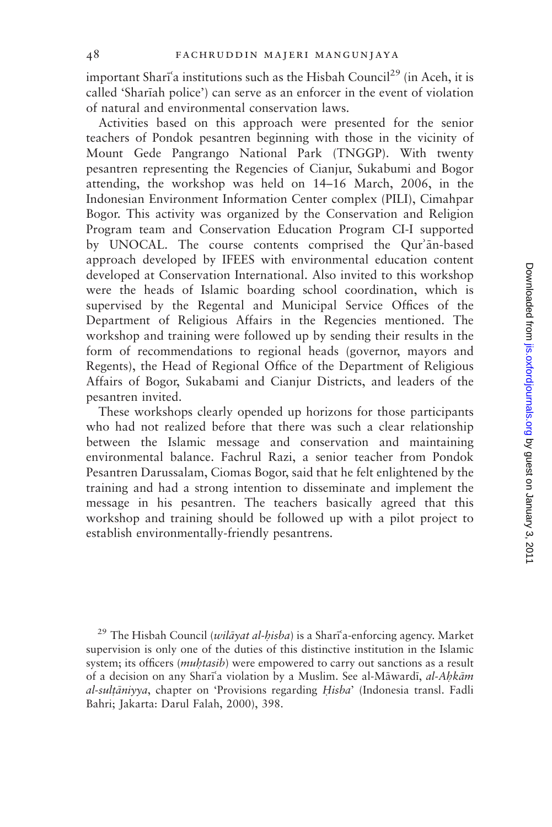important Shari<sup>a</sup> institutions such as the Hisbah Council<sup>29</sup> (in Aceh, it is called 'Shariah police') can serve as an enforcer in the event of violation of natural and environmental conservation laws.

Activities based on this approach were presented for the senior teachers of Pondok pesantren beginning with those in the vicinity of Mount Gede Pangrango National Park (TNGGP). With twenty pesantren representing the Regencies of Cianjur, Sukabumi and Bogor attending, the workshop was held on 14–16 March, 2006, in the Indonesian Environment Information Center complex (PILI), Cimahpar Bogor. This activity was organized by the Conservation and Religion Program team and Conservation Education Program CI-I supported by UNOCAL. The course contents comprised the Our'an-based approach developed by IFEES with environmental education content developed at Conservation International. Also invited to this workshop were the heads of Islamic boarding school coordination, which is supervised by the Regental and Municipal Service Offices of the Department of Religious Affairs in the Regencies mentioned. The workshop and training were followed up by sending their results in the form of recommendations to regional heads (governor, mayors and Regents), the Head of Regional Office of the Department of Religious Affairs of Bogor, Sukabami and Cianjur Districts, and leaders of the pesantren invited.

These workshops clearly opended up horizons for those participants who had not realized before that there was such a clear relationship between the Islamic message and conservation and maintaining environmental balance. Fachrul Razi, a senior teacher from Pondok Pesantren Darussalam, Ciomas Bogor, said that he felt enlightened by the training and had a strong intention to disseminate and implement the message in his pesantren. The teachers basically agreed that this workshop and training should be followed up with a pilot project to establish environmentally-friendly pesantrens.

<sup>29</sup> The Hisbah Council (*wilāyat al-hisba*) is a Sharī<sup>5</sup>a-enforcing agency. Market supervision is only one of the duties of this distinctive institution in the Islamic system; its officers (*muhtasib*) were empowered to carry out sanctions as a result of a decision on any Shari'a violation by a Muslim. See al-Māwardī, al-Ahkām al-sultāniyya, chapter on 'Provisions regarding Hisba' (Indonesia transl. Fadli Bahri; Jakarta: Darul Falah, 2000), 398.